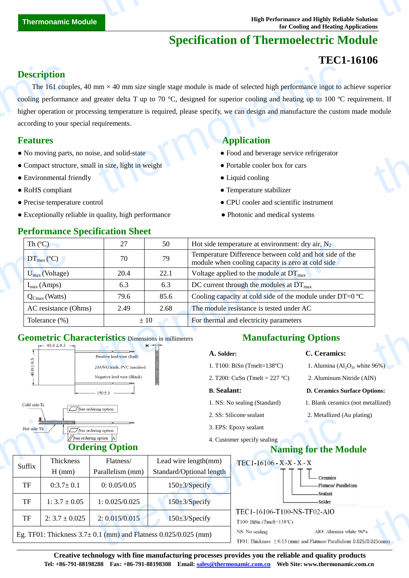# **Specification of Thermoelectric Module**

# **TEC1-16106**

### **Description**

The 161 couples, 40 mm  $\times$  40 mm size single stage module is made of selected high performance ingot to achieve superior cooling performance and greater delta T up to 70 °C, designed for superior cooling and heating up to 100  $\degree$ C requirement. If higher operation or processing temperature is required, please specify, we can design and manufacture the custom made module according to your special requirements. **Description**<br>The 161 coup<br>cooling performan<br>higher operation of<br>according to your s<br>**Features**<br>• No moving parts<br>• Compact structu<br>• Environmental f<br>• RoHS compliant  $\times$  40 mm size single stage module is made of selected high performance ingot to a<br>greater delta T up to 70 °C, designed for superior cooling and heating up to 100 °C<br>sing temperature is required, please specify, we can uperior<br>nent. If<br>module

- No moving parts, no noise, and solid-state  **Food and beverage service refrigerator**
- Compact structure, small in size, light in weight **•** Portable cooler box for cars
- Environmental friendly Liquid cooling
- 
- 
- Exceptionally reliable in quality, high performance Photonic and medical systems

# **Features Application**

- 
- 
- 

3. EPS: Epoxy sealant

4. Customer specify sealing

- RoHS compliant Temperature stabilizer
- Precise temperature control CPU cooler and scientific instrument
	-

| Th $(C)$                                                                                            | 27                                                 | 50                | Hot side temperature at environment: dry air, $N_2$                                                          |                                  |
|-----------------------------------------------------------------------------------------------------|----------------------------------------------------|-------------------|--------------------------------------------------------------------------------------------------------------|----------------------------------|
| $DT_{\text{max}}(\mathbb{C})$                                                                       | 70                                                 | 79                | Temperature Difference between cold and hot side of the<br>module when cooling capacity is zero at cold side |                                  |
| $U_{max}$ (Voltage)                                                                                 | 20.4                                               | 22.1              | Voltage applied to the module at $DT_{\text{max}}$                                                           |                                  |
| $I_{max}(Amps)$                                                                                     | 6.3                                                | 6.3               | DC current through the modules at $DT_{\text{max}}$                                                          |                                  |
| $Q_{Cmax}$ (Watts)                                                                                  | 79.6                                               | 85.6              | Cooling capacity at cold side of the module under DT=0 $\mathbb{C}$                                          |                                  |
| AC resistance (Ohms)                                                                                | 2.49                                               | 2.68              | The module resistance is tested under AC                                                                     |                                  |
| Tolerance $(\%)$                                                                                    | For thermal and electricity parameters<br>$\pm 10$ |                   |                                                                                                              |                                  |
| <b>Geometric Characteristics Dimensions in millimeters</b><br>$\leftarrow$ 40.0 ± 0.3 $\rightarrow$ |                                                    | $H \rightarrow +$ | <b>Manufacturing Options</b>                                                                                 |                                  |
|                                                                                                     | Positive lead wire (Red)                           |                   | A. Solder:                                                                                                   | C. Ceramics:                     |
|                                                                                                     | 20AWG leads, PVC insulated                         |                   | 1. T100: BiSn (Tmelt=138 $\mathbb{C}$ )                                                                      | 1. Alumina $(Al2O3$ , white 96%) |

# **Geometric Characteristics** Dimensions in millimeters





 $\overline{a}$ 

# **Ordering Option**

### **Manufacturing Options**

### **A. Solder: C. Ceramics:**

- 1. Alumina  $\left( \text{Al}_2\text{O}_3 \right)$ , white 96%)
- 2. T200: CuSn (Tmelt = 227 °C) 2. Aluminum Nitride (AlN)

#### **B. Sealant: D. Ceramics Surface Options:**

- 1. NS: No sealing (Standard) 1. Blank ceramics (not metallized)
- 2. SS: Silicone sealant 2. Metallized (Au plating)
- Suffix Thickness H (mm) Flatness/ Parallelism (mm) Lead wire length(mm) Standard/Optional length TF 0:3.7±0.1 0: 0.05/0.05 150±3/Specify TF | 1:  $3.7 \pm 0.05$  | 1:  $0.025/0.025$  | 150 $\pm 3/$ Specify TF | 2:  $3.7 \pm 0.025$  | 2:  $0.015/0.015$  | 150 $\pm 3/$ Specify Eg. TF01: Thickness  $3.7 \pm 0.1$  (mm) and Flatness 0.025/0.025 (mm) **Naming for the Module Ceramics** Hot side:Th<br>
Hot side:Th<br>
Suffix
<br>
TH<br>
TH<br>  $0:3.7 \pm$ <br>
TH<br>  $1:3.7 \pm$ <br>
TH<br>  $2:3.7 \pm 0$ <br>
Eg. TF01: Thickne E. I. B. D. Uncome Scalar<br>
Ing option<br>
Ing Option<br>
Flatness/<br>
Dead wire length(mm)<br>
Parallelism (mm)<br>
Standard/Optional length<br>
TEC1-16106-X-X-X-X-X<br>
Parallelism (mm)<br>
O: 0.05/0.05<br>
150±3/Specify<br>
2: 0.015/0.015<br>
150±3/Sp  $t$

**Creative technology with fine manufacturing processes provides you the reliable and quality products Tel: +86-791-88198288 Fax: +86-791-88198308 Email: sales@thermonamic.com.cn Web Site: www.thermonamic.com.cn**

### **Performance Specification Sheet**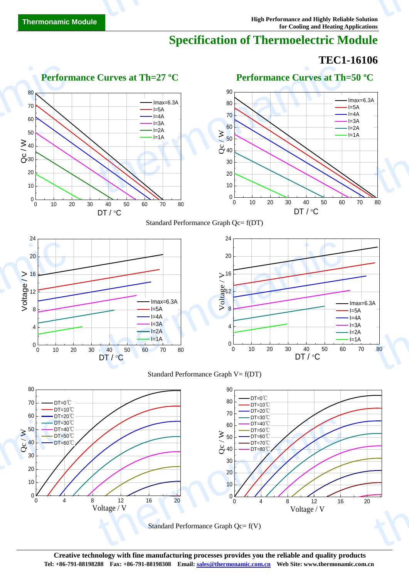# **Specification of Thermoelectric Module**

# **TEC1-16106**



Standard Performance Graph Qc= f(V)